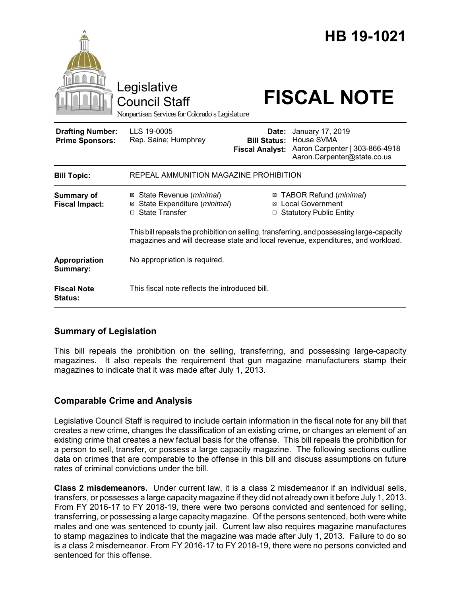|                                                   | Legislative                                                                                                                                                                   |                                                        | HB 19-1021                                                                                      |
|---------------------------------------------------|-------------------------------------------------------------------------------------------------------------------------------------------------------------------------------|--------------------------------------------------------|-------------------------------------------------------------------------------------------------|
|                                                   | <b>Council Staff</b><br>Nonpartisan Services for Colorado's Legislature                                                                                                       |                                                        | <b>FISCAL NOTE</b>                                                                              |
| <b>Drafting Number:</b><br><b>Prime Sponsors:</b> | LLS 19-0005<br>Rep. Saine; Humphrey                                                                                                                                           | Date:<br><b>Bill Status:</b><br><b>Fiscal Analyst:</b> | January 17, 2019<br>House SVMA<br>Aaron Carpenter   303-866-4918<br>Aaron.Carpenter@state.co.us |
| <b>Bill Topic:</b>                                | REPEAL AMMUNITION MAGAZINE PROHIBITION                                                                                                                                        |                                                        |                                                                                                 |
| <b>Summary of</b><br><b>Fiscal Impact:</b>        | ⊠ State Revenue ( <i>minimal</i> )<br>State Expenditure (minimal)<br>⊠<br>$\Box$ State Transfer                                                                               | $\Box$                                                 | ⊠ TABOR Refund ( <i>minimal</i> )<br>⊠ Local Government<br><b>Statutory Public Entity</b>       |
|                                                   | This bill repeals the prohibition on selling, transferring, and possessing large-capacity<br>magazines and will decrease state and local revenue, expenditures, and workload. |                                                        |                                                                                                 |
| Appropriation<br>Summary:                         | No appropriation is required.                                                                                                                                                 |                                                        |                                                                                                 |
| <b>Fiscal Note</b><br>Status:                     | This fiscal note reflects the introduced bill.                                                                                                                                |                                                        |                                                                                                 |

# **Summary of Legislation**

This bill repeals the prohibition on the selling, transferring, and possessing large-capacity magazines. It also repeals the requirement that gun magazine manufacturers stamp their magazines to indicate that it was made after July 1, 2013.

# **Comparable Crime and Analysis**

Legislative Council Staff is required to include certain information in the fiscal note for any bill that creates a new crime, changes the classification of an existing crime, or changes an element of an existing crime that creates a new factual basis for the offense. This bill repeals the prohibition for a person to sell, transfer, or possess a large capacity magazine. The following sections outline data on crimes that are comparable to the offense in this bill and discuss assumptions on future rates of criminal convictions under the bill.

**Class 2 misdemeanors.** Under current law, it is a class 2 misdemeanor if an individual sells, transfers, or possesses a large capacity magazine if they did not already own it before July 1, 2013. From FY 2016-17 to FY 2018-19, there were two persons convicted and sentenced for selling, transferring, or possessing a large capacity magazine. Of the persons sentenced, both were white males and one was sentenced to county jail. Current law also requires magazine manufactures to stamp magazines to indicate that the magazine was made after July 1, 2013. Failure to do so is a class 2 misdemeanor. From FY 2016-17 to FY 2018-19, there were no persons convicted and sentenced for this offense.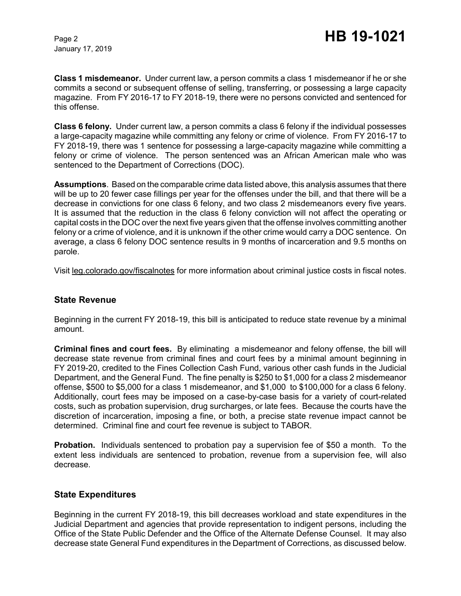January 17, 2019

**Class 1 misdemeanor.** Under current law, a person commits a class 1 misdemeanor if he or she commits a second or subsequent offense of selling, transferring, or possessing a large capacity magazine. From FY 2016-17 to FY 2018-19, there were no persons convicted and sentenced for this offense.

**Class 6 felony.** Under current law, a person commits a class 6 felony if the individual possesses a large-capacity magazine while committing any felony or crime of violence. From FY 2016-17 to FY 2018-19, there was 1 sentence for possessing a large-capacity magazine while committing a felony or crime of violence. The person sentenced was an African American male who was sentenced to the Department of Corrections (DOC).

**Assumptions**. Based on the comparable crime data listed above, this analysis assumes that there will be up to 20 fewer case fillings per year for the offenses under the bill, and that there will be a decrease in convictions for one class 6 felony, and two class 2 misdemeanors every five years. It is assumed that the reduction in the class 6 felony conviction will not affect the operating or capital costs in the DOC over the next five years given that the offense involves committing another felony or a crime of violence, and it is unknown if the other crime would carry a DOC sentence. On average, a class 6 felony DOC sentence results in 9 months of incarceration and 9.5 months on parole.

Visit leg.colorado.gov/fiscalnotes for more information about criminal justice costs in fiscal notes.

#### **State Revenue**

Beginning in the current FY 2018-19, this bill is anticipated to reduce state revenue by a minimal amount.

**Criminal fines and court fees.** By eliminating a misdemeanor and felony offense, the bill will decrease state revenue from criminal fines and court fees by a minimal amount beginning in FY 2019-20, credited to the Fines Collection Cash Fund, various other cash funds in the Judicial Department, and the General Fund. The fine penalty is \$250 to \$1,000 for a class 2 misdemeanor offense, \$500 to \$5,000 for a class 1 misdemeanor, and \$1,000 to \$100,000 for a class 6 felony. Additionally, court fees may be imposed on a case-by-case basis for a variety of court-related costs, such as probation supervision, drug surcharges, or late fees. Because the courts have the discretion of incarceration, imposing a fine, or both, a precise state revenue impact cannot be determined. Criminal fine and court fee revenue is subject to TABOR.

**Probation.** Individuals sentenced to probation pay a supervision fee of \$50 a month. To the extent less individuals are sentenced to probation, revenue from a supervision fee, will also decrease.

#### **State Expenditures**

Beginning in the current FY 2018-19, this bill decreases workload and state expenditures in the Judicial Department and agencies that provide representation to indigent persons, including the Office of the State Public Defender and the Office of the Alternate Defense Counsel. It may also decrease state General Fund expenditures in the Department of Corrections, as discussed below.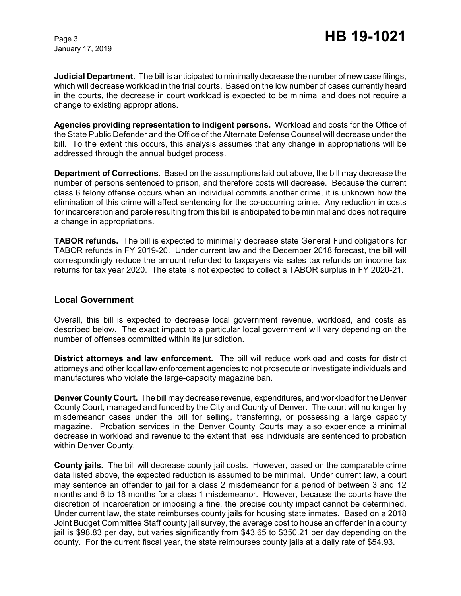**Judicial Department.** The bill is anticipated to minimally decrease the number of new case filings, which will decrease workload in the trial courts. Based on the low number of cases currently heard in the courts, the decrease in court workload is expected to be minimal and does not require a change to existing appropriations.

**Agencies providing representation to indigent persons.** Workload and costs for the Office of the State Public Defender and the Office of the Alternate Defense Counsel will decrease under the bill. To the extent this occurs, this analysis assumes that any change in appropriations will be addressed through the annual budget process.

**Department of Corrections.** Based on the assumptions laid out above, the bill may decrease the number of persons sentenced to prison, and therefore costs will decrease. Because the current class 6 felony offense occurs when an individual commits another crime, it is unknown how the elimination of this crime will affect sentencing for the co-occurring crime. Any reduction in costs for incarceration and parole resulting from this bill is anticipated to be minimal and does not require a change in appropriations.

**TABOR refunds.** The bill is expected to minimally decrease state General Fund obligations for TABOR refunds in FY 2019-20. Under current law and the December 2018 forecast, the bill will correspondingly reduce the amount refunded to taxpayers via sales tax refunds on income tax returns for tax year 2020. The state is not expected to collect a TABOR surplus in FY 2020-21.

### **Local Government**

Overall, this bill is expected to decrease local government revenue, workload, and costs as described below. The exact impact to a particular local government will vary depending on the number of offenses committed within its jurisdiction.

**District attorneys and law enforcement.** The bill will reduce workload and costs for district attorneys and other local law enforcement agencies to not prosecute or investigate individuals and manufactures who violate the large-capacity magazine ban.

**Denver County Court.** The bill may decrease revenue, expenditures, and workload for the Denver County Court, managed and funded by the City and County of Denver. The court will no longer try misdemeanor cases under the bill for selling, transferring, or possessing a large capacity magazine. Probation services in the Denver County Courts may also experience a minimal decrease in workload and revenue to the extent that less individuals are sentenced to probation within Denver County.

**County jails.** The bill will decrease county jail costs. However, based on the comparable crime data listed above, the expected reduction is assumed to be minimal. Under current law, a court may sentence an offender to jail for a class 2 misdemeanor for a period of between 3 and 12 months and 6 to 18 months for a class 1 misdemeanor. However, because the courts have the discretion of incarceration or imposing a fine, the precise county impact cannot be determined. Under current law, the state reimburses county jails for housing state inmates. Based on a 2018 Joint Budget Committee Staff county jail survey, the average cost to house an offender in a county jail is \$98.83 per day, but varies significantly from \$43.65 to \$350.21 per day depending on the county. For the current fiscal year, the state reimburses county jails at a daily rate of \$54.93.